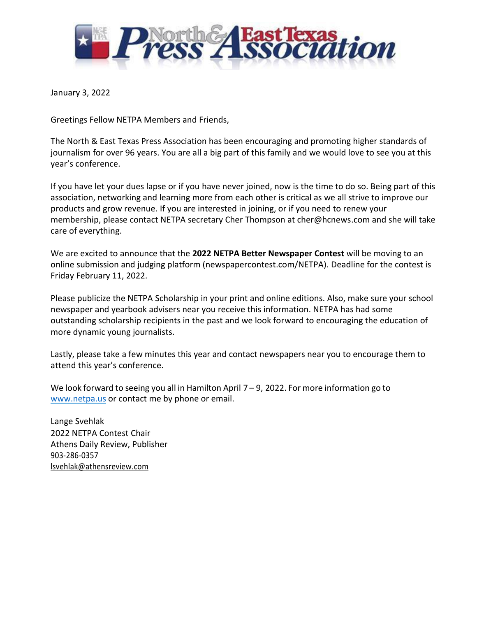

January 3, 2022

Greetings Fellow NETPA Members and Friends,

The North & East Texas Press Association has been encouraging and promoting higher standards of journalism for over 96 years. You are all a big part of this family and we would love to see you at this year's conference.

If you have let your dues lapse or if you have never joined, now is the time to do so. Being part of this association, networking and learning more from each other is critical as we all strive to improve our products and grow revenue. If you are interested in joining, or if you need to renew your membership, please contact NETPA secretary Cher Thompson at cher@hcnews.com and she will take care of everything.

We are excited to announce that the **2022 NETPA Better Newspaper Contest** will be moving to an online submission and judging platform (newspapercontest.com/NETPA). Deadline for the contest is Friday February 11, 2022.

Please publicize the NETPA Scholarship in your print and online editions. Also, make sure your school newspaper and yearbook advisers near you receive this information. NETPA has had some outstanding scholarship recipients in the past and we look forward to encouraging the education of more dynamic young journalists.

Lastly, please take a few minutes this year and contact newspapers near you to encourage them to attend this year's conference.

We look forward to seeing you all in Hamilton April 7 – 9, 2022. For more information go to [www.netpa.us](http://www.netpa.us/) or contact me by phone or email.

Lange Svehlak 2022 NETPA Contest Chair Athens Daily Review, Publisher 903-286-0357 lsvehlak@athensreview.com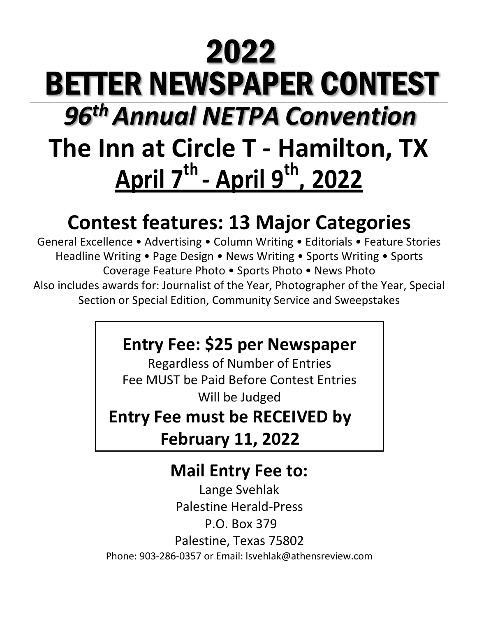# **The Inn at Circle T - Hamilton, TX April 7th - April 9th , 2022** 2022 BETTER NEWSPAPER CONTEST *96 thAnnual NETPA Convention*

# **Contest features: 13 Major Categories**

General Excellence • Advertising • Column Writing • Editorials • Feature Stories Headline Writing • Page Design • News Writing • Sports Writing • Sports Coverage Feature Photo • Sports Photo • News Photo Also includes awards for: Journalist of the Year, Photographer of the Year, Special Section or Special Edition, Community Service and Sweepstakes

## **Entry Fee: \$25 per Newspaper**

Regardless of Number of Entries Fee MUST be Paid Before Contest Entries Will be Judged

**Entry Fee must be RECEIVED by** 

**February 11, 2022**

### **Mail Entry Fee to:**

Lange Svehlak Palestine Herald-Press P.O. Box 379 Palestine, Texas 75802 Phone: 903-286-0357 or Email: lsvehlak@athensreview.com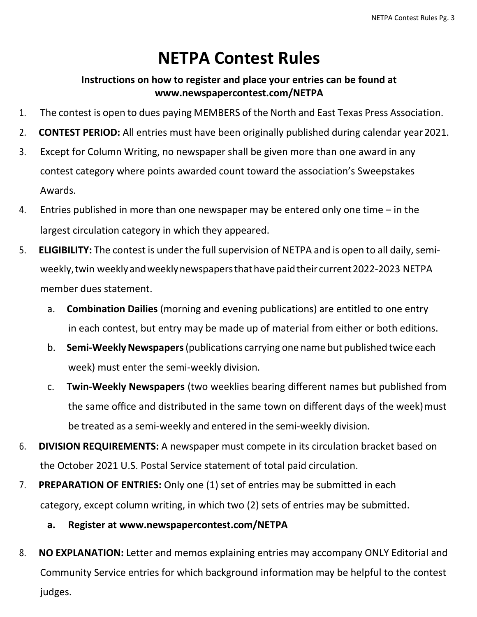### **NETPA Contest Rules**

### **Instructions on how to register and place your entries can be found at www.newspapercontest.com/NETPA**

- 1. The contest is open to dues paying MEMBERS of the North and East Texas Press Association.
- 2. **CONTEST PERIOD:** All entries must have been originally published during calendar year2021.
- 3. Except for Column Writing, no newspaper shall be given more than one award in any contest category where points awarded count toward the association's Sweepstakes Awards.
- 4. Entries published in more than one newspaper may be entered only one time in the largest circulation category in which they appeared.
- 5. **ELIGIBILITY:** The contest is under the full supervision of NETPA and is open to all daily, semiweekly, twin weeklyandweeklynewspapersthathavepaidtheir current2022-2023 NETPA member dues statement.
	- a. **Combination Dailies** (morning and evening publications) are entitled to one entry in each contest, but entry may be made up of material from either or both editions.
	- b. **Semi-Weekly Newspapers** (publications carrying one name but published twice each week) must enter the semi-weekly division.
	- c. **Twin-Weekly Newspapers** (two weeklies bearing different names but published from the same office and distributed in the same town on different days of the week)must be treated as a semi-weekly and entered in the semi-weekly division.
- 6. **DIVISION REQUIREMENTS:** A newspaper must compete in its circulation bracket based on the October 2021 U.S. Postal Service statement of total paid circulation.
- 7. **PREPARATION OF ENTRIES:** Only one (1) set of entries may be submitted in each category, except column writing, in which two (2) sets of entries may be submitted.
	- **a. Register at www.newspapercontest.com/NETPA**
- 8. **NO EXPLANATION:** Letter and memos explaining entries may accompany ONLY Editorial and Community Service entries for which background information may be helpful to the contest judges.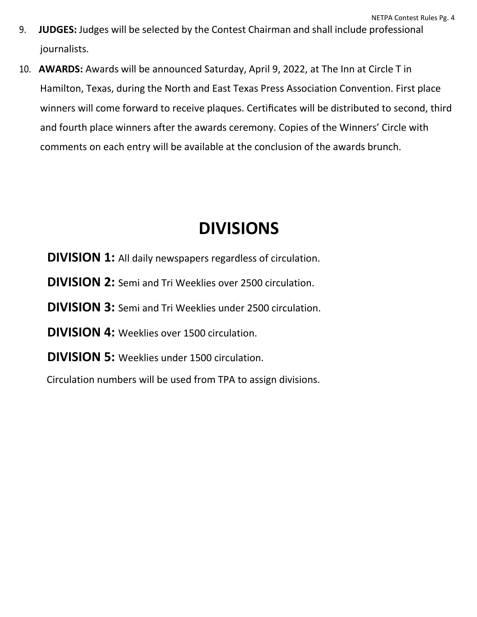- 9. **JUDGES:** Judges will be selected by the Contest Chairman and shall include professional journalists.
- 10. **AWARDS:** Awards will be announced Saturday, April 9, 2022, at The Inn at Circle T in Hamilton, Texas, during the North and East Texas Press Association Convention. First place winners will come forward to receive plaques. Certificates will be distributed to second, third and fourth place winners after the awards ceremony. Copies of the Winners' Circle with comments on each entry will be available at the conclusion of the awards brunch.

### **DIVISIONS**

**DIVISION 1:** All daily newspapers regardless of circulation.

**DIVISION 2:** Semi and Tri Weeklies over 2500 circulation.

### **DIVISION 3:** Semi and Tri Weeklies under 2500 circulation.

**DIVISION 4:** Weeklies over 1500 circulation.

**DIVISION 5:** Weeklies under 1500 circulation.

Circulation numbers will be used from TPA to assign divisions.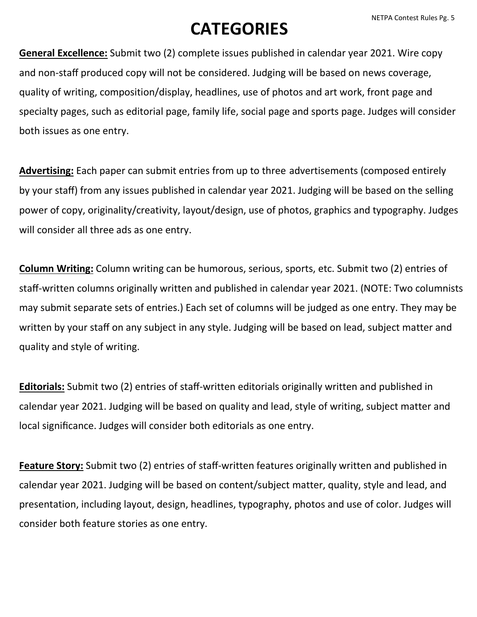# **CATEGORIES**

**General Excellence:** Submit two (2) complete issues published in calendar year 2021. Wire copy and non-staff produced copy will not be considered. Judging will be based on news coverage, quality of writing, composition/display, headlines, use of photos and art work, front page and specialty pages, such as editorial page, family life, social page and sports page. Judges will consider both issues as one entry.

**Advertising:** Each paper can submit entries from up to three advertisements (composed entirely by your staff) from any issues published in calendar year 2021. Judging will be based on the selling power of copy, originality/creativity, layout/design, use of photos, graphics and typography. Judges will consider all three ads as one entry.

**Column Writing:** Column writing can be humorous, serious, sports, etc. Submit two (2) entries of staff-written columns originally written and published in calendar year 2021. (NOTE: Two columnists may submit separate sets of entries.) Each set of columns will be judged as one entry. They may be written by your staff on any subject in any style. Judging will be based on lead, subject matter and quality and style of writing.

**Editorials:** Submit two (2) entries of staff-written editorials originally written and published in calendar year 2021. Judging will be based on quality and lead, style of writing, subject matter and local significance. Judges will consider both editorials as one entry.

**Feature Story:** Submit two (2) entries of staff-written features originally written and published in calendar year 2021. Judging will be based on content/subject matter, quality, style and lead, and presentation, including layout, design, headlines, typography, photos and use of color. Judges will consider both feature stories as one entry.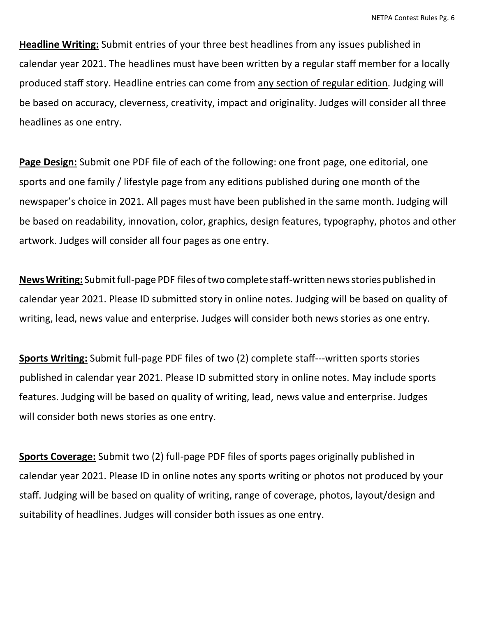**Headline Writing:** Submit entries of your three best headlines from any issues published in calendar year 2021. The headlines must have been written by a regular staff member for a locally produced staff story. Headline entries can come from any section of regular edition. Judging will be based on accuracy, cleverness, creativity, impact and originality. Judges will consider all three headlines as one entry.

**Page Design:** Submit one PDF file of each of the following: one front page, one editorial, one sports and one family / lifestyle page from any editions published during one month of the newspaper's choice in 2021. All pages must have been published in the same month. Judging will be based on readability, innovation, color, graphics, design features, typography, photos and other artwork. Judges will consider all four pages as one entry.

News Writing: Submit full-page PDF files of two complete staff-written news stories published in calendar year 2021. Please ID submitted story in online notes. Judging will be based on quality of writing, lead, news value and enterprise. Judges will consider both news stories as one entry.

**Sports Writing:** Submit full-page PDF files of two (2) complete staff---written sports stories published in calendar year 2021. Please ID submitted story in online notes. May include sports features. Judging will be based on quality of writing, lead, news value and enterprise. Judges will consider both news stories as one entry.

**Sports Coverage:** Submit two (2) full-page PDF files of sports pages originally published in calendar year 2021. Please ID in online notes any sports writing or photos not produced by your staff. Judging will be based on quality of writing, range of coverage, photos, layout/design and suitability of headlines. Judges will consider both issues as one entry.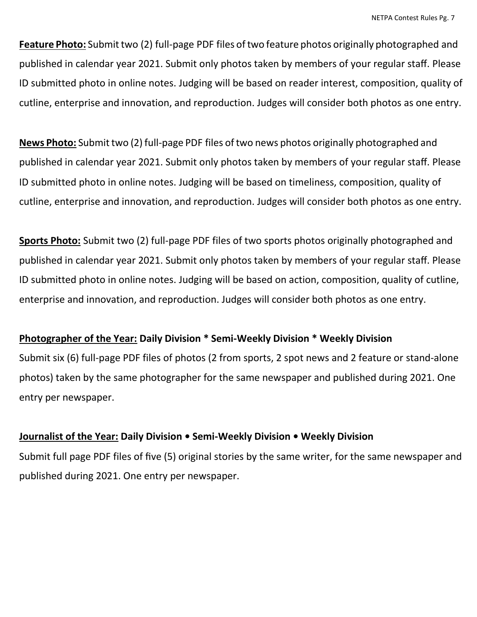**Feature Photo:** Submit two (2) full-page PDF files of two feature photos originally photographed and published in calendar year 2021. Submit only photos taken by members of your regular staff. Please ID submitted photo in online notes. Judging will be based on reader interest, composition, quality of cutline, enterprise and innovation, and reproduction. Judges will consider both photos as one entry.

News Photo: Submit two (2) full-page PDF files of two news photos originally photographed and published in calendar year 2021. Submit only photos taken by members of your regular staff. Please ID submitted photo in online notes. Judging will be based on timeliness, composition, quality of cutline, enterprise and innovation, and reproduction. Judges will consider both photos as one entry.

**Sports Photo:** Submit two (2) full-page PDF files of two sports photos originally photographed and published in calendar year 2021. Submit only photos taken by members of your regular staff. Please ID submitted photo in online notes. Judging will be based on action, composition, quality of cutline, enterprise and innovation, and reproduction. Judges will consider both photos as one entry.

### **Photographer of the Year: Daily Division \* Semi-Weekly Division \* Weekly Division**

Submit six (6) full-page PDF files of photos (2 from sports, 2 spot news and 2 feature or stand-alone photos) taken by the same photographer for the same newspaper and published during 2021. One entry per newspaper.

#### **Journalist of the Year: Daily Division • Semi-Weekly Division • Weekly Division**

Submit full page PDF files of five (5) original stories by the same writer, for the same newspaper and published during 2021. One entry per newspaper.